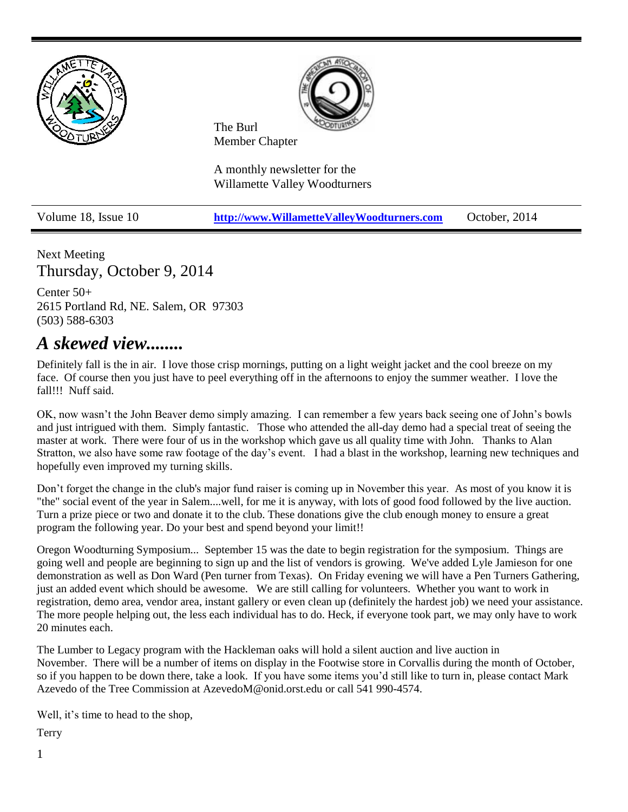

Next Meeting Thursday, October 9, 2014

Center 50+ 2615 Portland Rd, NE. Salem, OR 97303 (503) 588-6303

## *A skewed view........*

Definitely fall is the in air. I love those crisp mornings, putting on a light weight jacket and the cool breeze on my face. Of course then you just have to peel everything off in the afternoons to enjoy the summer weather. I love the fall!!! Nuff said.

OK, now wasn't the John Beaver demo simply amazing. I can remember a few years back seeing one of John's bowls and just intrigued with them. Simply fantastic. Those who attended the all-day demo had a special treat of seeing the master at work. There were four of us in the workshop which gave us all quality time with John. Thanks to Alan Stratton, we also have some raw footage of the day's event. I had a blast in the workshop, learning new techniques and hopefully even improved my turning skills.

Don't forget the change in the club's major fund raiser is coming up in November this year. As most of you know it is "the" social event of the year in Salem....well, for me it is anyway, with lots of good food followed by the live auction. Turn a prize piece or two and donate it to the club. These donations give the club enough money to ensure a great program the following year. Do your best and spend beyond your limit!!

Oregon Woodturning Symposium... September 15 was the date to begin registration for the symposium. Things are going well and people are beginning to sign up and the list of vendors is growing. We've added Lyle Jamieson for one demonstration as well as Don Ward (Pen turner from Texas). On Friday evening we will have a Pen Turners Gathering, just an added event which should be awesome. We are still calling for volunteers. Whether you want to work in registration, demo area, vendor area, instant gallery or even clean up (definitely the hardest job) we need your assistance. The more people helping out, the less each individual has to do. Heck, if everyone took part, we may only have to work 20 minutes each.

The Lumber to Legacy program with the Hackleman oaks will hold a silent auction and live auction in November. There will be a number of items on display in the Footwise store in Corvallis during the month of October, so if you happen to be down there, take a look. If you have some items you'd still like to turn in, please contact Mark Azevedo of the Tree Commission at [AzevedoM@onid.orst.edu](javascript:window.top.ZmObjectManager.__doClickObject(document.getElementById(%22OBJ_PREFIX_DWT2154_com_zimbra_email%22));) or call 541 990-4574.

Well, it's time to head to the shop,

Terry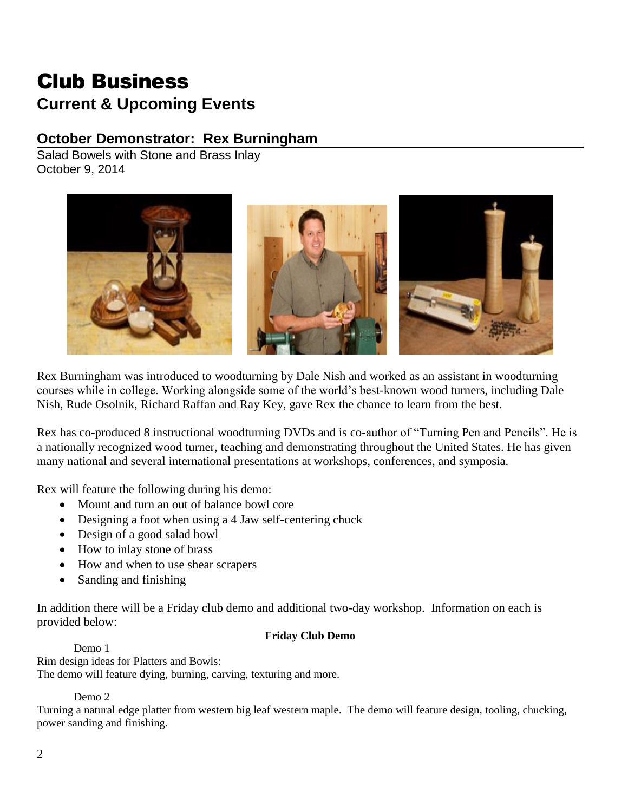# Club Business **Current & Upcoming Events**

## **October Demonstrator: Rex Burningham**

Salad Bowels with Stone and Brass Inlay October 9, 2014



Rex Burningham was introduced to woodturning by Dale Nish and worked as an assistant in woodturning courses while in college. Working alongside some of the world's best-known wood turners, including Dale Nish, Rude Osolnik, Richard Raffan and Ray Key, gave Rex the chance to learn from the best.

Rex has co-produced 8 instructional woodturning DVDs and is co-author of "Turning Pen and Pencils". He is a nationally recognized wood turner, teaching and demonstrating throughout the United States. He has given many national and several international presentations at workshops, conferences, and symposia.

Rex will feature the following during his demo:

- Mount and turn an out of balance bowl core
- Designing a foot when using a 4 Jaw self-centering chuck
- Design of a good salad bowl
- How to inlay stone of brass
- How and when to use shear scrapers
- Sanding and finishing

In addition there will be a Friday club demo and additional two-day workshop. Information on each is provided below:

#### **Friday Club Demo**

Demo 1 Rim design ideas for Platters and Bowls: The demo will feature dying, burning, carving, texturing and more.

Demo 2

Turning a natural edge platter from western big leaf western maple. The demo will feature design, tooling, chucking, power sanding and finishing.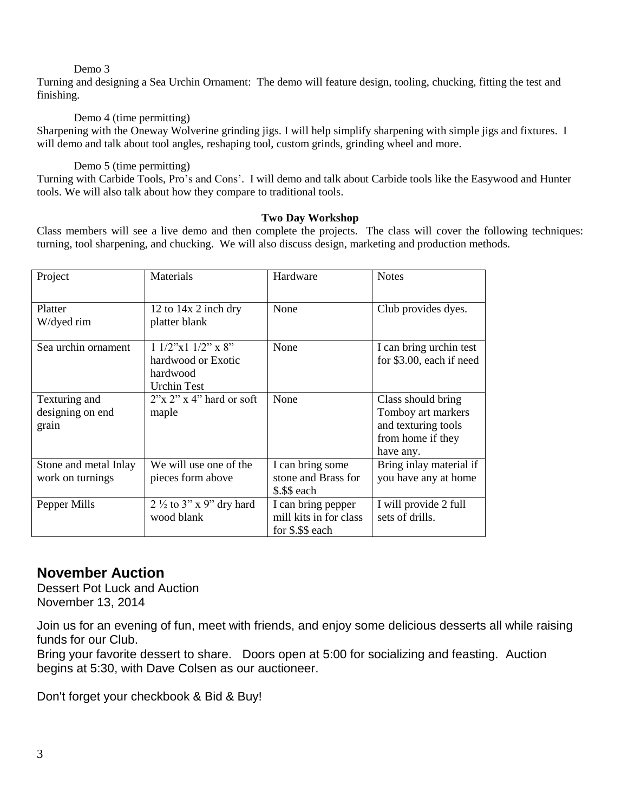#### Demo 3

Turning and designing a Sea Urchin Ornament: The demo will feature design, tooling, chucking, fitting the test and finishing.

#### Demo 4 (time permitting)

Sharpening with the Oneway Wolverine grinding jigs. I will help simplify sharpening with simple jigs and fixtures. I will demo and talk about tool angles, reshaping tool, custom grinds, grinding wheel and more.

#### Demo 5 (time permitting)

Turning with Carbide Tools, Pro's and Cons'. I will demo and talk about Carbide tools like the Easywood and Hunter tools. We will also talk about how they compare to traditional tools.

#### **Two Day Workshop**

Class members will see a live demo and then complete the projects. The class will cover the following techniques: turning, tool sharpening, and chucking. We will also discuss design, marketing and production methods.

| Project                                    | Materials                                                                       | Hardware                                                         | <b>Notes</b>                                                                                      |
|--------------------------------------------|---------------------------------------------------------------------------------|------------------------------------------------------------------|---------------------------------------------------------------------------------------------------|
| Platter<br>W/dyed rim                      | 12 to $14x$ 2 inch dry<br>platter blank                                         | None                                                             | Club provides dyes.                                                                               |
| Sea urchin ornament                        | $11/2$ "x $11/2$ " x 8"<br>hardwood or Exotic<br>hardwood<br><b>Urchin Test</b> | None                                                             | I can bring urchin test<br>for \$3.00, each if need                                               |
| Texturing and<br>designing on end<br>grain | $2^{\prime\prime}$ x 2" x 4" hard or soft<br>maple                              | None                                                             | Class should bring<br>Tomboy art markers<br>and texturing tools<br>from home if they<br>have any. |
| Stone and metal Inlay<br>work on turnings  | We will use one of the<br>pieces form above                                     | I can bring some<br>stone and Brass for<br>\$.\$\$ each          | Bring inlay material if<br>you have any at home                                                   |
| Pepper Mills                               | $2\frac{1}{2}$ to 3" x 9" dry hard<br>wood blank                                | I can bring pepper<br>mill kits in for class<br>for \$.\$\$ each | I will provide 2 full<br>sets of drills.                                                          |

## **November Auction**

Dessert Pot Luck and Auction November 13, 2014

Join us for an evening of fun, meet with friends, and enjoy some delicious desserts all while raising funds for our Club.

Bring your favorite dessert to share. Doors open at 5:00 for socializing and feasting. Auction begins at 5:30, with Dave Colsen as our auctioneer.

Don't forget your checkbook & Bid & Buy!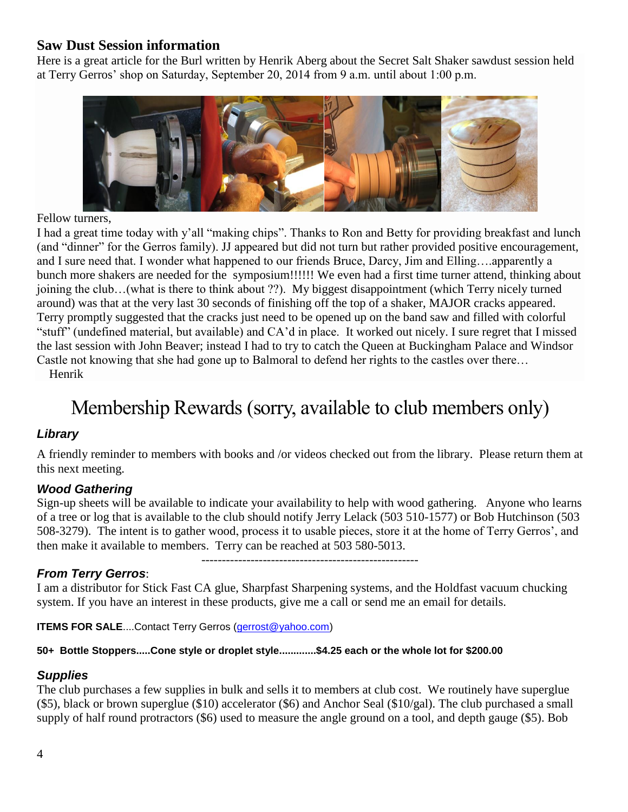## **Saw Dust Session information**

Here is a great article for the Burl written by Henrik Aberg about the Secret Salt Shaker sawdust session held at Terry Gerros' shop on Saturday, September 20, 2014 from 9 a.m. until about 1:00 p.m.



Fellow turners,

I had a great time today with y'all "making chips". Thanks to Ron and Betty for providing breakfast and lunch (and "dinner" for the Gerros family). JJ appeared but did not turn but rather provided positive encouragement, and I sure need that. I wonder what happened to our friends Bruce, Darcy, Jim and Elling….apparently a bunch more shakers are needed for the symposium!!!!!! We even had a first time turner attend, thinking about joining the club…(what is there to think about ??). My biggest disappointment (which Terry nicely turned around) was that at the very last 30 seconds of finishing off the top of a shaker, MAJOR cracks appeared. Terry promptly suggested that the cracks just need to be opened up on the band saw and filled with colorful "stuff" (undefined material, but available) and CA'd in place. It worked out nicely. I sure regret that I missed the last session with John Beaver; instead I had to try to catch the Queen at Buckingham Palace and Windsor Castle not knowing that she had gone up to Balmoral to defend her rights to the castles over there… Henrik

## Membership Rewards (sorry, available to club members only)

## *Library*

A friendly reminder to members with books and /or videos checked out from the library. Please return them at this next meeting.

## *Wood Gathering*

Sign-up sheets will be available to indicate your availability to help with wood gathering. Anyone who learns of a tree or log that is available to the club should notify Jerry Lelack (503 510-1577) or Bob Hutchinson (503 508-3279). The intent is to gather wood, process it to usable pieces, store it at the home of Terry Gerros', and then make it available to members. Terry can be reached at 503 580-5013.

-----------------------------------------------------

#### *From Terry Gerros*:

I am a distributor for Stick Fast CA glue, Sharpfast Sharpening systems, and the Holdfast vacuum chucking system. If you have an interest in these products, give me a call or send me an email for details.

**ITEMS FOR SALE....Contact Terry Gerros [\(gerrost@yahoo.com\)](mailto:gerrost@yahoo.com)** 

#### **50+ Bottle Stoppers.....Cone style or droplet style.............\$4.25 each or the whole lot for \$200.00**

#### *Supplies*

The club purchases a few supplies in bulk and sells it to members at club cost. We routinely have superglue (\$5), black or brown superglue (\$10) accelerator (\$6) and Anchor Seal (\$10/gal). The club purchased a small supply of half round protractors (\$6) used to measure the angle ground on a tool, and depth gauge (\$5). Bob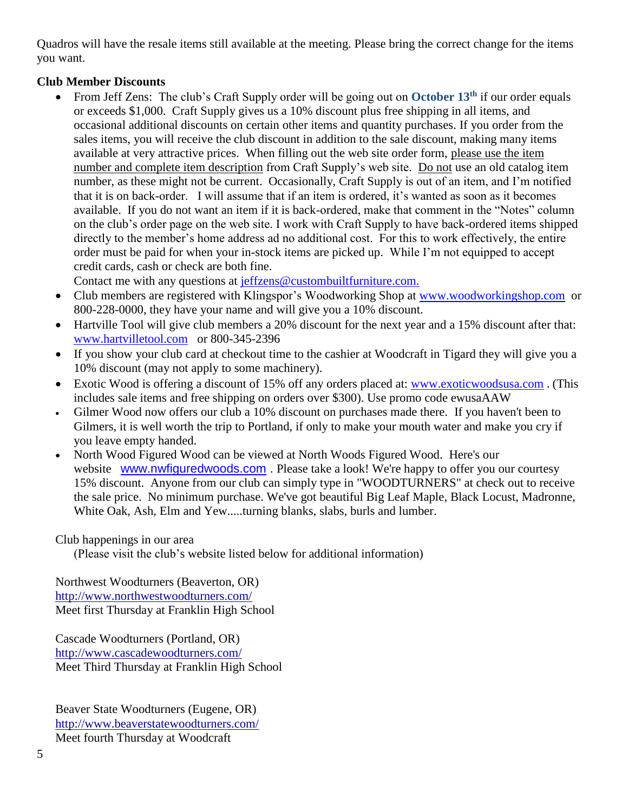Quadros will have the resale items still available at the meeting. Please bring the correct change for the items you want.

## **Club Member Discounts**

 From Jeff Zens: The club's Craft Supply order will be going out on **October 13th** if our order equals or exceeds \$1,000. Craft Supply gives us a 10% discount plus free shipping in all items, and occasional additional discounts on certain other items and quantity purchases. If you order from the sales items, you will receive the club discount in addition to the sale discount, making many items available at very attractive prices. When filling out the web site order form, please use the item number and complete item description from Craft Supply's web site. Do not use an old catalog item number, as these might not be current. Occasionally, Craft Supply is out of an item, and I'm notified that it is on back-order. I will assume that if an item is ordered, it's wanted as soon as it becomes available. If you do not want an item if it is back-ordered, make that comment in the "Notes" column on the club's order page on the web site. I work with Craft Supply to have back-ordered items shipped directly to the member's home address ad no additional cost. For this to work effectively, the entire order must be paid for when your in-stock items are picked up. While I'm not equipped to accept credit cards, cash or check are both fine.

Contact me with any questions at [jeffzens@custombuiltfurniture.com.](mailto:jeffzens@custombuiltfurniture.com.)

- Club members are registered with Klingspor's Woodworking Shop at [www.woodworkingshop.com](http://www.woodworkingshop.com/) or 800-228-0000, they have your name and will give you a 10% discount.
- Hartville Tool will give club members a 20% discount for the next year and a 15% discount after that: [www.hartvilletool.com](http://www.hartvilletool.com/) or 800-345-2396
- If you show your club card at checkout time to the cashier at Woodcraft in Tigard they will give you a 10% discount (may not apply to some machinery).
- Exotic Wood is offering a discount of 15% off any orders placed at: [www.exoticwoodsusa.com](http://www.exoticwoodsusa.com/). (This includes sale items and free shipping on orders over \$300). Use promo code ewusaAAW
- Gilmer Wood now offers our club a 10% discount on purchases made there. If you haven't been to Gilmers, it is well worth the trip to Portland, if only to make your mouth water and make you cry if you leave empty handed.
- North Wood Figured Wood can be viewed at North Woods Figured Wood. Here's our website [www.nwfiguredwoods.com](http://www.nwfiguredwoods.com/). Please take a look! We're happy to offer you our courtesy 15% discount. Anyone from our club can simply type in "WOODTURNERS" at check out to receive the sale price. No minimum purchase. We've got beautiful Big Leaf Maple, Black Locust, Madronne, White Oak, Ash, Elm and Yew.....turning blanks, slabs, burls and lumber.

#### Club happenings in our area

(Please visit the club's website listed below for additional information)

Northwest Woodturners (Beaverton, OR) <http://www.northwestwoodturners.com/> Meet first Thursday at Franklin High School

Cascade Woodturners (Portland, OR) <http://www.cascadewoodturners.com/> Meet Third Thursday at Franklin High School

Beaver State Woodturners (Eugene, OR) <http://www.beaverstatewoodturners.com/> Meet fourth Thursday at Woodcraft